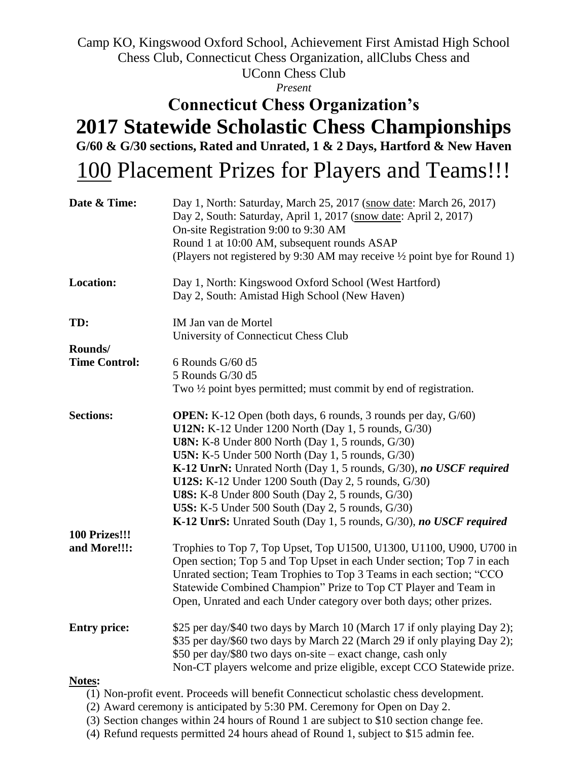Camp KO, Kingswood Oxford School, Achievement First Amistad High School Chess Club, Connecticut Chess Organization, allClubs Chess and UConn Chess Club

*Present*

## **Connecticut Chess Organization's 2017 Statewide Scholastic Chess Championships G/60 & G/30 sections, Rated and Unrated, 1 & 2 Days, Hartford & New Haven**

## 100 Placement Prizes for Players and Teams!!!

| Date & Time:         | Day 1, North: Saturday, March 25, 2017 (snow date: March 26, 2017)<br>Day 2, South: Saturday, April 1, 2017 (snow date: April 2, 2017)<br>On-site Registration 9:00 to 9:30 AM<br>Round 1 at 10:00 AM, subsequent rounds ASAP<br>(Players not registered by 9:30 AM may receive 1/2 point bye for Round 1)                                                      |  |  |  |  |  |
|----------------------|-----------------------------------------------------------------------------------------------------------------------------------------------------------------------------------------------------------------------------------------------------------------------------------------------------------------------------------------------------------------|--|--|--|--|--|
| <b>Location:</b>     | Day 1, North: Kingswood Oxford School (West Hartford)<br>Day 2, South: Amistad High School (New Haven)                                                                                                                                                                                                                                                          |  |  |  |  |  |
| TD:                  | IM Jan van de Mortel<br>University of Connecticut Chess Club                                                                                                                                                                                                                                                                                                    |  |  |  |  |  |
| Rounds/              |                                                                                                                                                                                                                                                                                                                                                                 |  |  |  |  |  |
| <b>Time Control:</b> | 6 Rounds $G/60$ d5                                                                                                                                                                                                                                                                                                                                              |  |  |  |  |  |
|                      | 5 Rounds G/30 d5                                                                                                                                                                                                                                                                                                                                                |  |  |  |  |  |
|                      | Two $\frac{1}{2}$ point byes permitted; must commit by end of registration.                                                                                                                                                                                                                                                                                     |  |  |  |  |  |
| <b>Sections:</b>     | <b>OPEN:</b> K-12 Open (both days, 6 rounds, 3 rounds per day, G/60)<br><b>U12N:</b> K-12 Under 1200 North (Day 1, 5 rounds, G/30)<br><b>U8N:</b> K-8 Under 800 North (Day 1, 5 rounds, G/30)                                                                                                                                                                   |  |  |  |  |  |
|                      | <b>U5N:</b> K-5 Under 500 North (Day 1, 5 rounds, G/30)                                                                                                                                                                                                                                                                                                         |  |  |  |  |  |
|                      | K-12 UnrN: Unrated North (Day 1, 5 rounds, G/30), no USCF required<br>U12S: K-12 Under 1200 South (Day 2, 5 rounds, G/30)                                                                                                                                                                                                                                       |  |  |  |  |  |
|                      | <b>U8S:</b> K-8 Under 800 South (Day 2, 5 rounds, G/30)                                                                                                                                                                                                                                                                                                         |  |  |  |  |  |
|                      | <b>U5S:</b> K-5 Under 500 South (Day 2, 5 rounds, G/30)                                                                                                                                                                                                                                                                                                         |  |  |  |  |  |
|                      | K-12 UnrS: Unrated South (Day 1, 5 rounds, G/30), no USCF required                                                                                                                                                                                                                                                                                              |  |  |  |  |  |
| 100 Prizes!!!        |                                                                                                                                                                                                                                                                                                                                                                 |  |  |  |  |  |
| and More!!!:         | Trophies to Top 7, Top Upset, Top U1500, U1300, U1100, U900, U700 in<br>Open section; Top 5 and Top Upset in each Under section; Top 7 in each<br>Unrated section; Team Trophies to Top 3 Teams in each section; "CCO<br>Statewide Combined Champion" Prize to Top CT Player and Team in<br>Open, Unrated and each Under category over both days; other prizes. |  |  |  |  |  |
| <b>Entry price:</b>  | \$25 per day/\$40 two days by March 10 (March 17 if only playing Day 2);<br>\$35 per day/\$60 two days by March 22 (March 29 if only playing Day 2);                                                                                                                                                                                                            |  |  |  |  |  |
|                      | \$50 per day/\$80 two days on-site - exact change, cash only                                                                                                                                                                                                                                                                                                    |  |  |  |  |  |
|                      | Non-CT players welcome and prize eligible, except CCO Statewide prize.                                                                                                                                                                                                                                                                                          |  |  |  |  |  |
| Notes:               |                                                                                                                                                                                                                                                                                                                                                                 |  |  |  |  |  |
|                      | (1) Non-profit event. Proceeds will benefit Connecticut scholastic chess development.                                                                                                                                                                                                                                                                           |  |  |  |  |  |

- (2) Award ceremony is anticipated by 5:30 PM. Ceremony for Open on Day 2.
- (3) Section changes within 24 hours of Round 1 are subject to \$10 section change fee.
- (4) Refund requests permitted 24 hours ahead of Round 1, subject to \$15 admin fee.